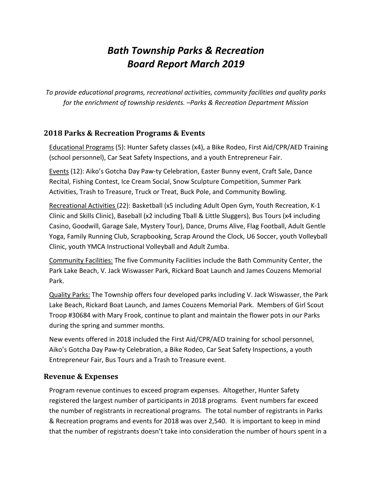# *Bath Township Parks & Recreation Board Report March 2019*

*To provide educational programs, recreational activities, community facilities and quality parks for the enrichment of township residents. –Parks & Recreation Department Mission*

# **2018 Parks & Recreation Programs & Events**

Educational Programs (5): Hunter Safety classes (x4), a Bike Rodeo, First Aid/CPR/AED Training (school personnel), Car Seat Safety Inspections, and a youth Entrepreneur Fair.

Events (12): Aiko's Gotcha Day Paw-ty Celebration, Easter Bunny event, Craft Sale, Dance Recital, Fishing Contest, Ice Cream Social, Snow Sculpture Competition, Summer Park Activities, Trash to Treasure, Truck or Treat, Buck Pole, and Community Bowling.

Recreational Activities (22): Basketball (x5 including Adult Open Gym, Youth Recreation, K-1 Clinic and Skills Clinic), Baseball (x2 including Tball & Little Sluggers), Bus Tours (x4 including Casino, Goodwill, Garage Sale, Mystery Tour), Dance, Drums Alive, Flag Football, Adult Gentle Yoga, Family Running Club, Scrapbooking, Scrap Around the Clock, U6 Soccer, youth Volleyball Clinic, youth YMCA Instructional Volleyball and Adult Zumba.

Community Facilities: The five Community Facilities include the Bath Community Center, the Park Lake Beach, V. Jack Wiswasser Park, Rickard Boat Launch and James Couzens Memorial Park.

Quality Parks: The Township offers four developed parks including V. Jack Wiswasser, the Park Lake Beach, Rickard Boat Launch, and James Couzens Memorial Park. Members of Girl Scout Troop #30684 with Mary Frook, continue to plant and maintain the flower pots in our Parks during the spring and summer months.

New events offered in 2018 included the First Aid/CPR/AED training for school personnel, Aiko's Gotcha Day Paw-ty Celebration, a Bike Rodeo, Car Seat Safety Inspections, a youth Entrepreneur Fair, Bus Tours and a Trash to Treasure event.

#### **Revenue & Expenses**

Program revenue continues to exceed program expenses. Altogether, Hunter Safety registered the largest number of participants in 2018 programs. Event numbers far exceed the number of registrants in recreational programs. The total number of registrants in Parks & Recreation programs and events for 2018 was over 2,540. It is important to keep in mind that the number of registrants doesn't take into consideration the number of hours spent in a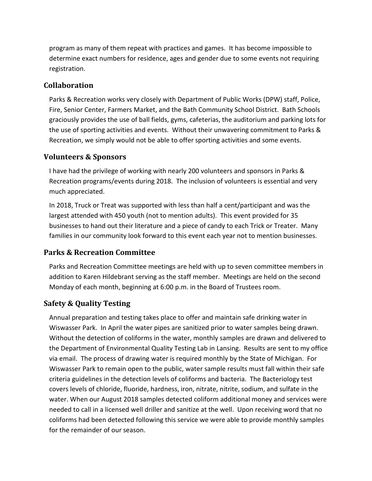program as many of them repeat with practices and games. It has become impossible to determine exact numbers for residence, ages and gender due to some events not requiring registration.

## **Collaboration**

Parks & Recreation works very closely with Department of Public Works (DPW) staff, Police, Fire, Senior Center, Farmers Market, and the Bath Community School District. Bath Schools graciously provides the use of ball fields, gyms, cafeterias, the auditorium and parking lots for the use of sporting activities and events. Without their unwavering commitment to Parks & Recreation, we simply would not be able to offer sporting activities and some events.

## **Volunteers & Sponsors**

I have had the privilege of working with nearly 200 volunteers and sponsors in Parks & Recreation programs/events during 2018. The inclusion of volunteers is essential and very much appreciated.

In 2018, Truck or Treat was supported with less than half a cent/participant and was the largest attended with 450 youth (not to mention adults). This event provided for 35 businesses to hand out their literature and a piece of candy to each Trick or Treater. Many families in our community look forward to this event each year not to mention businesses.

# **Parks & Recreation Committee**

Parks and Recreation Committee meetings are held with up to seven committee members in addition to Karen Hildebrant serving as the staff member. Meetings are held on the second Monday of each month, beginning at 6:00 p.m. in the Board of Trustees room.

# **Safety & Quality Testing**

Annual preparation and testing takes place to offer and maintain safe drinking water in Wiswasser Park. In April the water pipes are sanitized prior to water samples being drawn. Without the detection of coliforms in the water, monthly samples are drawn and delivered to the Department of Environmental Quality Testing Lab in Lansing. Results are sent to my office via email. The process of drawing water is required monthly by the State of Michigan. For Wiswasser Park to remain open to the public, water sample results must fall within their safe criteria guidelines in the detection levels of coliforms and bacteria. The Bacteriology test covers levels of chloride, fluoride, hardness, iron, nitrate, nitrite, sodium, and sulfate in the water. When our August 2018 samples detected coliform additional money and services were needed to call in a licensed well driller and sanitize at the well. Upon receiving word that no coliforms had been detected following this service we were able to provide monthly samples for the remainder of our season.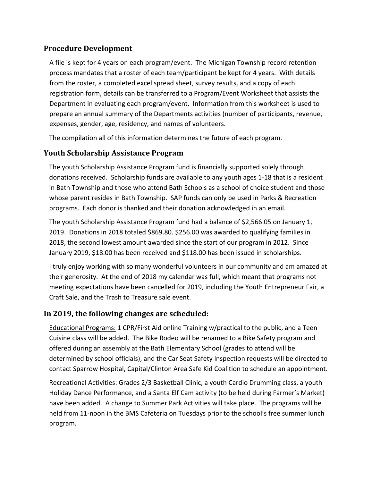## **Procedure Development**

A file is kept for 4 years on each program/event. The Michigan Township record retention process mandates that a roster of each team/participant be kept for 4 years. With details from the roster, a completed excel spread sheet, survey results, and a copy of each registration form, details can be transferred to a Program/Event Worksheet that assists the Department in evaluating each program/event. Information from this worksheet is used to prepare an annual summary of the Departments activities (number of participants, revenue, expenses, gender, age, residency, and names of volunteers.

The compilation all of this information determines the future of each program.

# **Youth Scholarship Assistance Program**

The youth Scholarship Assistance Program fund is financially supported solely through donations received. Scholarship funds are available to any youth ages 1-18 that is a resident in Bath Township and those who attend Bath Schools as a school of choice student and those whose parent resides in Bath Township. SAP funds can only be used in Parks & Recreation programs. Each donor is thanked and their donation acknowledged in an email.

The youth Scholarship Assistance Program fund had a balance of \$2,566.05 on January 1, 2019. Donations in 2018 totaled \$869.80. \$256.00 was awarded to qualifying families in 2018, the second lowest amount awarded since the start of our program in 2012. Since January 2019, \$18.00 has been received and \$118.00 has been issued in scholarships.

I truly enjoy working with so many wonderful volunteers in our community and am amazed at their generosity. At the end of 2018 my calendar was full, which meant that programs not meeting expectations have been cancelled for 2019, including the Youth Entrepreneur Fair, a Craft Sale, and the Trash to Treasure sale event.

# **In 2019, the following changes are scheduled:**

Educational Programs: 1 CPR/First Aid online Training w/practical to the public, and a Teen Cuisine class will be added. The Bike Rodeo will be renamed to a Bike Safety program and offered during an assembly at the Bath Elementary School (grades to attend will be determined by school officials), and the Car Seat Safety Inspection requests will be directed to contact Sparrow Hospital, Capital/Clinton Area Safe Kid Coalition to schedule an appointment.

Recreational Activities: Grades 2/3 Basketball Clinic, a youth Cardio Drumming class, a youth Holiday Dance Performance, and a Santa Elf Cam activity (to be held during Farmer's Market) have been added. A change to Summer Park Activities will take place. The programs will be held from 11-noon in the BMS Cafeteria on Tuesdays prior to the school's free summer lunch program.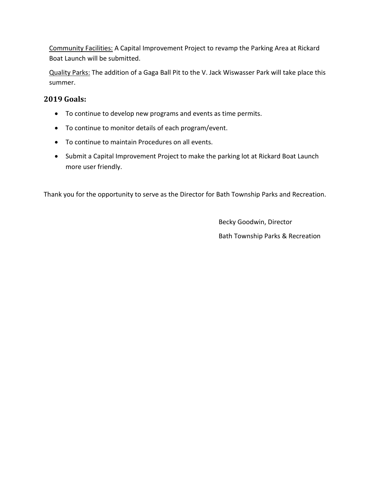Community Facilities: A Capital Improvement Project to revamp the Parking Area at Rickard Boat Launch will be submitted.

Quality Parks: The addition of a Gaga Ball Pit to the V. Jack Wiswasser Park will take place this summer.

# **2019 Goals:**

- To continue to develop new programs and events as time permits.
- To continue to monitor details of each program/event.
- To continue to maintain Procedures on all events.
- Submit a Capital Improvement Project to make the parking lot at Rickard Boat Launch more user friendly.

Thank you for the opportunity to serve as the Director for Bath Township Parks and Recreation.

Becky Goodwin, Director Bath Township Parks & Recreation